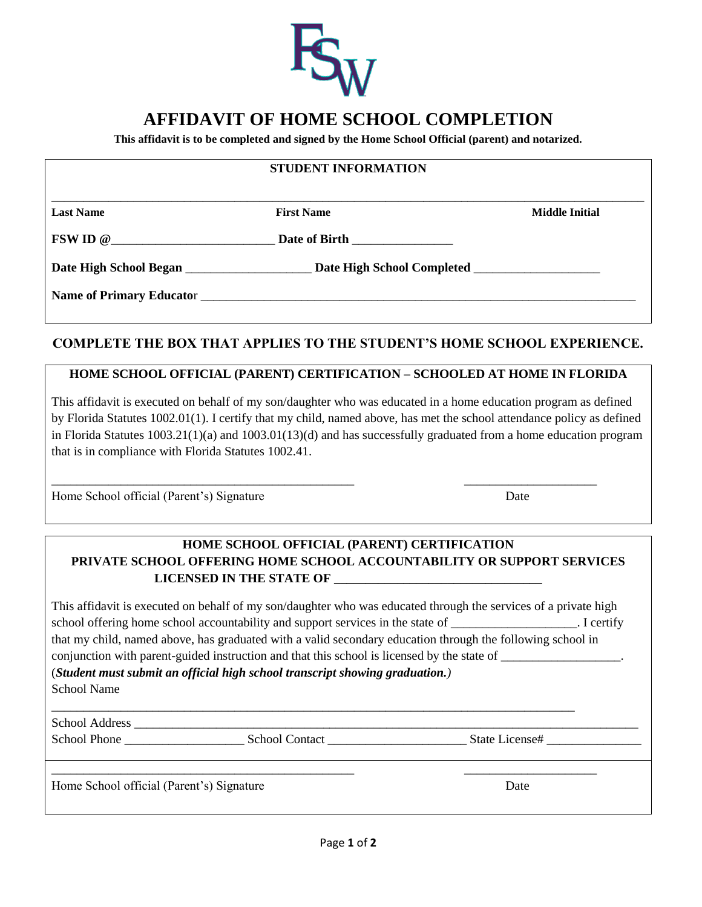

# **AFFIDAVIT OF HOME SCHOOL COMPLETION**

**This affidavit is to be completed and signed by the Home School Official (parent) and notarized.**

#### **STUDENT INFORMATION**

\_\_\_\_\_\_\_\_\_\_\_\_\_\_\_\_\_\_\_\_\_\_\_\_\_\_\_\_\_\_\_\_\_\_\_\_\_\_\_\_\_\_\_\_\_\_\_\_\_\_\_\_\_\_\_\_\_\_\_\_\_\_\_\_\_\_\_\_\_\_\_\_\_\_\_\_\_\_\_\_\_\_\_\_\_\_\_\_\_\_\_\_\_\_

**Last Name Solution Contract Property American** First Name Structure of the Middle Initial

**FSW ID @**\_\_\_\_\_\_\_\_\_\_\_\_\_\_\_\_\_\_\_\_\_\_\_\_\_\_ **Date of Birth** \_\_\_\_\_\_\_\_\_\_\_\_\_\_\_\_

Date High School Began \_\_\_\_\_\_\_\_\_\_\_\_\_\_\_\_\_\_\_\_ Date High School Completed \_\_\_\_\_\_\_\_\_\_\_\_\_\_\_\_

**Name of Primary Educato**r \_\_\_\_\_\_\_\_\_\_\_\_\_\_\_\_\_\_\_\_\_\_\_\_\_\_\_\_\_\_\_\_\_\_\_\_\_\_\_\_\_\_\_\_\_\_\_\_\_\_\_\_\_\_\_\_\_\_\_\_\_\_\_\_\_\_\_\_\_

## **COMPLETE THE BOX THAT APPLIES TO THE STUDENT'S HOME SCHOOL EXPERIENCE.**

### **HOME SCHOOL OFFICIAL (PARENT) CERTIFICATION – SCHOOLED AT HOME IN FLORIDA**

This affidavit is executed on behalf of my son/daughter who was educated in a home education program as defined by Florida Statutes 1002.01(1). I certify that my child, named above, has met the school attendance policy as defined in Florida Statutes 1003.21(1)(a) and 1003.01(13)(d) and has successfully graduated from a home education program that is in compliance with Florida Statutes 1002.41.

\_\_\_\_\_\_\_\_\_\_\_\_\_\_\_\_\_\_\_\_\_\_\_\_\_\_\_\_\_\_\_\_\_\_\_\_\_\_\_\_\_\_\_\_\_\_\_\_ \_\_\_\_\_\_\_\_\_\_\_\_\_\_\_\_\_\_\_\_\_

Home School official (Parent's) Signature Date

## **HOME SCHOOL OFFICIAL (PARENT) CERTIFICATION PRIVATE SCHOOL OFFERING HOME SCHOOL ACCOUNTABILITY OR SUPPORT SERVICES LICENSED IN THE STATE OF \_\_\_\_\_\_\_\_\_\_\_\_\_\_\_\_\_\_\_\_\_\_\_\_\_\_\_\_\_\_\_\_\_**

| This affidavit is executed on behalf of my son/daughter who was educated through the services of a private high |             |
|-----------------------------------------------------------------------------------------------------------------|-------------|
| school offering home school accountability and support services in the state of                                 | . I certify |
| that my child, named above, has graduated with a valid secondary education through the following school in      |             |
| conjunction with parent-guided instruction and that this school is licensed by the state of                     |             |
| (Student must submit an official high school transcript showing graduation.)                                    |             |
| School Name                                                                                                     |             |
|                                                                                                                 |             |

School Address \_\_\_\_\_\_\_\_\_\_\_\_\_\_\_\_\_\_\_\_\_\_\_\_\_\_\_\_\_\_\_\_\_\_\_\_\_\_\_\_\_\_\_\_\_\_\_\_\_\_\_\_\_\_\_\_\_\_\_\_\_\_\_\_\_\_\_\_\_\_\_\_\_\_\_\_\_\_\_\_

School Phone \_\_\_\_\_\_\_\_\_\_\_\_\_\_\_\_\_\_\_ School Contact \_\_\_\_\_\_\_\_\_\_\_\_\_\_\_\_\_\_\_\_\_\_ State License# \_\_\_\_\_\_\_\_\_\_\_\_\_\_\_

Home School official (Parent's) Signature Date Date Date